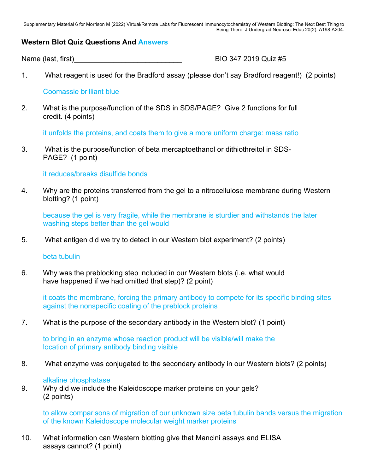Supplementary Material 6 for Morrison M (2022) Virtual/Remote Labs for Fluorescent Immunocytochemistry of Western Blotting: The Next Best Thing to Being There. J Undergrad Neurosci Educ 20(2): A198-A204.

## **Western Blot Quiz Questions And Answers**

Name (last, first) Mame (last, first)

1. What reagent is used for the Bradford assay (please don't say Bradford reagent!) (2 points)

## Coomassie brilliant blue

2. What is the purpose/function of the SDS in SDS/PAGE? Give 2 functions for full credit. (4 points)

it unfolds the proteins, and coats them to give a more uniform charge: mass ratio

3. What is the purpose/function of beta mercaptoethanol or dithiothreitol in SDS- PAGE? (1 point)

it reduces/breaks disulfide bonds

4. Why are the proteins transferred from the gel to a nitrocellulose membrane during Western blotting? (1 point)

 because the gel is very fragile, while the membrane is sturdier and withstands the later washing steps better than the gel would

5. What antigen did we try to detect in our Western blot experiment? (2 points)

beta tubulin

6. Why was the preblocking step included in our Western blots (i.e. what would have happened if we had omitted that step)? (2 point)

 it coats the membrane, forcing the primary antibody to compete for its specific binding sites against the nonspecific coating of the preblock proteins

7. What is the purpose of the secondary antibody in the Western blot? (1 point)

to bring in an enzyme whose reaction product will be visible/will make the location of primary antibody binding visible

8. What enzyme was conjugated to the secondary antibody in our Western blots? (2 points)

## alkaline phosphatase

9. Why did we include the Kaleidoscope marker proteins on your gels? (2 points)

 to allow comparisons of migration of our unknown size beta tubulin bands versus the migration of the known Kaleidoscope molecular weight marker proteins

10. What information can Western blotting give that Mancini assays and ELISA assays cannot? (1 point)